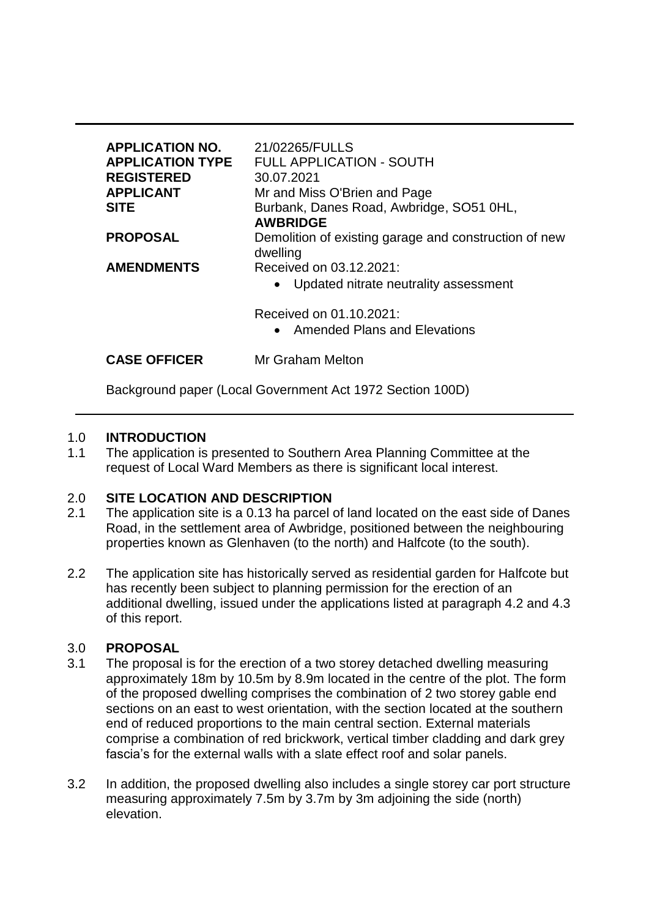| <b>APPLICATION NO.</b><br><b>APPLICATION TYPE</b><br><b>REGISTERED</b><br><b>APPLICANT</b><br><b>SITE</b> | 21/02265/FULLS<br><b>FULL APPLICATION - SOUTH</b><br>30.07.2021<br>Mr and Miss O'Brien and Page<br>Burbank, Danes Road, Awbridge, SO51 0HL,<br><b>AWBRIDGE</b> |
|-----------------------------------------------------------------------------------------------------------|----------------------------------------------------------------------------------------------------------------------------------------------------------------|
| <b>PROPOSAL</b>                                                                                           | Demolition of existing garage and construction of new<br>dwelling                                                                                              |
| <b>AMENDMENTS</b>                                                                                         | Received on 03.12.2021:<br>Updated nitrate neutrality assessment<br>Received on 01.10.2021:<br><b>Amended Plans and Elevations</b><br>$\bullet$                |
| <b>CASE OFFICER</b>                                                                                       | Mr Graham Melton                                                                                                                                               |

Background paper (Local Government Act 1972 Section 100D)

# 1.0 **INTRODUCTION**

1.1 The application is presented to Southern Area Planning Committee at the request of Local Ward Members as there is significant local interest.

# 2.0 **SITE LOCATION AND DESCRIPTION**

- 2.1 The application site is a 0.13 ha parcel of land located on the east side of Danes Road, in the settlement area of Awbridge, positioned between the neighbouring properties known as Glenhaven (to the north) and Halfcote (to the south).
- 2.2 The application site has historically served as residential garden for Halfcote but has recently been subject to planning permission for the erection of an additional dwelling, issued under the applications listed at paragraph 4.2 and 4.3 of this report.

# 3.0 **PROPOSAL**

- 3.1 The proposal is for the erection of a two storey detached dwelling measuring approximately 18m by 10.5m by 8.9m located in the centre of the plot. The form of the proposed dwelling comprises the combination of 2 two storey gable end sections on an east to west orientation, with the section located at the southern end of reduced proportions to the main central section. External materials comprise a combination of red brickwork, vertical timber cladding and dark grey fascia's for the external walls with a slate effect roof and solar panels.
- 3.2 In addition, the proposed dwelling also includes a single storey car port structure measuring approximately 7.5m by 3.7m by 3m adjoining the side (north) elevation.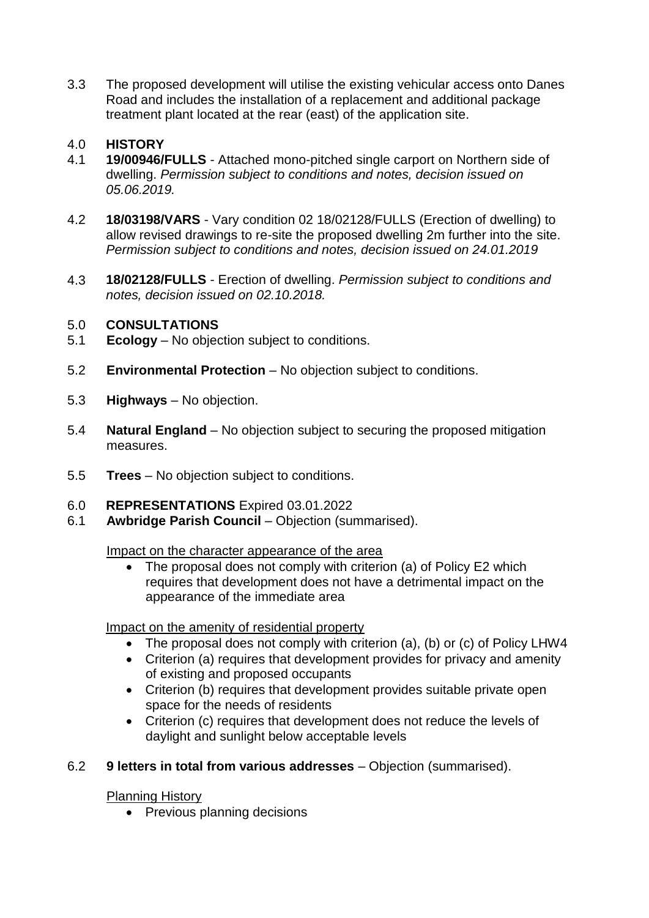3.3 The proposed development will utilise the existing vehicular access onto Danes Road and includes the installation of a replacement and additional package treatment plant located at the rear (east) of the application site.

# 4.0 **HISTORY**

- 4.1 **19/00946/FULLS** Attached mono-pitched single carport on Northern side of dwelling. *Permission subject to conditions and notes, decision issued on 05.06.2019.*
- 4.2 **18/03198/VARS** Vary condition 02 18/02128/FULLS (Erection of dwelling) to allow revised drawings to re-site the proposed dwelling 2m further into the site. *Permission subject to conditions and notes, decision issued on 24.01.2019*
- 4.3 **18/02128/FULLS**  Erection of dwelling. *Permission subject to conditions and notes, decision issued on 02.10.2018.*

# 5.0 **CONSULTATIONS**

- 5.1 **Ecology**  No objection subject to conditions.
- 5.2 **Environmental Protection**  No objection subject to conditions.
- 5.3 **Highways**  No objection.
- 5.4 **Natural England**  No objection subject to securing the proposed mitigation measures.
- 5.5 **Trees**  No objection subject to conditions.
- 6.0 **REPRESENTATIONS** Expired 03.01.2022
- 6.1 **Awbridge Parish Council**  Objection (summarised).

Impact on the character appearance of the area

• The proposal does not comply with criterion (a) of Policy E2 which requires that development does not have a detrimental impact on the appearance of the immediate area

# Impact on the amenity of residential property

- The proposal does not comply with criterion (a), (b) or (c) of Policy LHW4
- Criterion (a) requires that development provides for privacy and amenity of existing and proposed occupants
- Criterion (b) requires that development provides suitable private open space for the needs of residents
- Criterion (c) requires that development does not reduce the levels of daylight and sunlight below acceptable levels

# 6.2 **9 letters in total from various addresses** – Objection (summarised).

# Planning History

• Previous planning decisions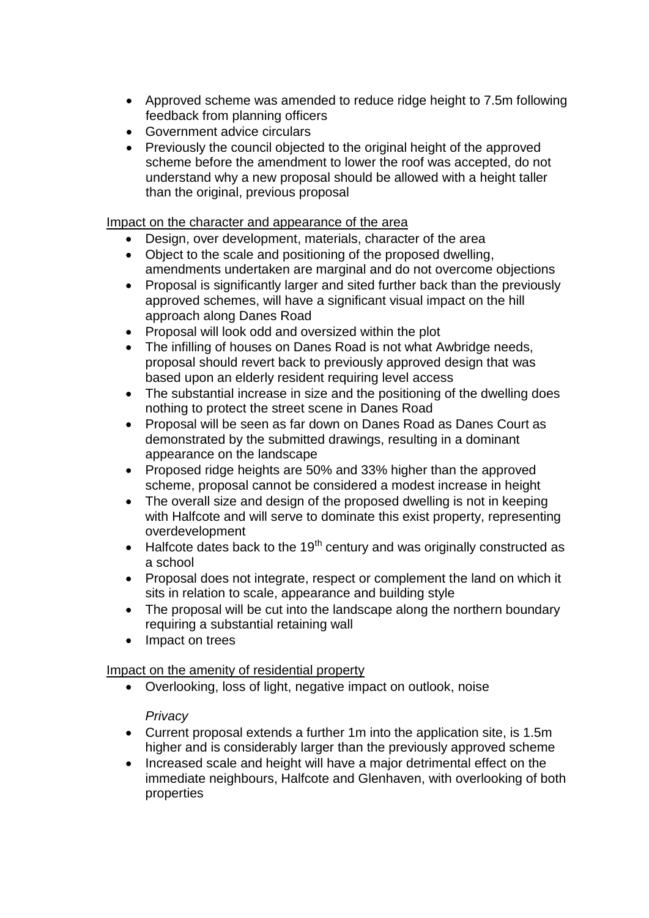- Approved scheme was amended to reduce ridge height to 7.5m following feedback from planning officers
- Government advice circulars
- Previously the council objected to the original height of the approved scheme before the amendment to lower the roof was accepted, do not understand why a new proposal should be allowed with a height taller than the original, previous proposal

Impact on the character and appearance of the area

- Design, over development, materials, character of the area
- Object to the scale and positioning of the proposed dwelling, amendments undertaken are marginal and do not overcome objections
- Proposal is significantly larger and sited further back than the previously approved schemes, will have a significant visual impact on the hill approach along Danes Road
- Proposal will look odd and oversized within the plot
- The infilling of houses on Danes Road is not what Awbridge needs, proposal should revert back to previously approved design that was based upon an elderly resident requiring level access
- The substantial increase in size and the positioning of the dwelling does nothing to protect the street scene in Danes Road
- Proposal will be seen as far down on Danes Road as Danes Court as demonstrated by the submitted drawings, resulting in a dominant appearance on the landscape
- Proposed ridge heights are 50% and 33% higher than the approved scheme, proposal cannot be considered a modest increase in height
- The overall size and design of the proposed dwelling is not in keeping with Halfcote and will serve to dominate this exist property, representing overdevelopment
- $\bullet$  Halfcote dates back to the 19<sup>th</sup> century and was originally constructed as a school
- Proposal does not integrate, respect or complement the land on which it sits in relation to scale, appearance and building style
- The proposal will be cut into the landscape along the northern boundary requiring a substantial retaining wall
- Impact on trees

# Impact on the amenity of residential property

Overlooking, loss of light, negative impact on outlook, noise

# *Privacy*

- Current proposal extends a further 1m into the application site, is 1.5m higher and is considerably larger than the previously approved scheme
- Increased scale and height will have a major detrimental effect on the immediate neighbours, Halfcote and Glenhaven, with overlooking of both properties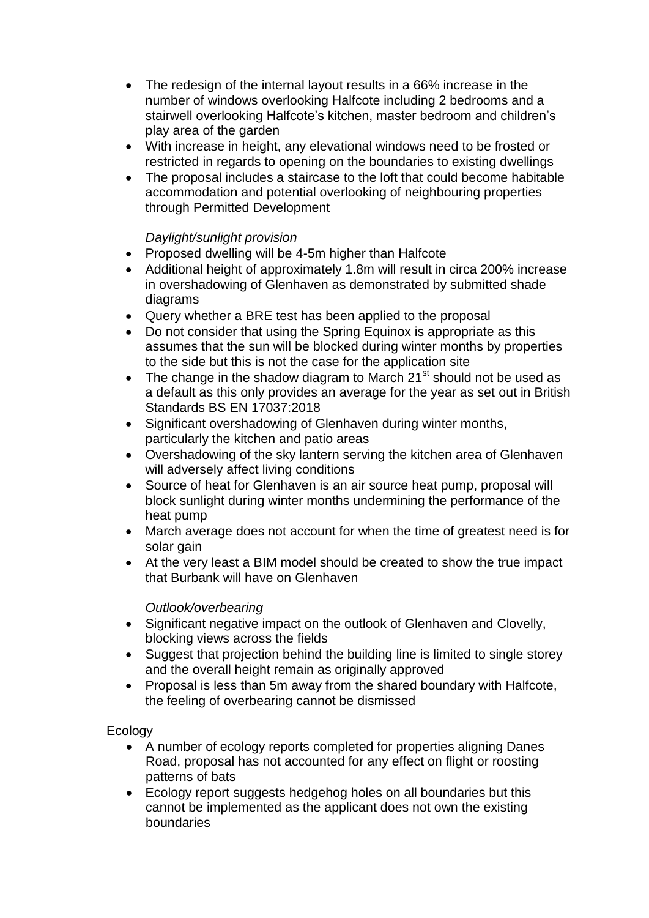- The redesign of the internal layout results in a 66% increase in the number of windows overlooking Halfcote including 2 bedrooms and a stairwell overlooking Halfcote's kitchen, master bedroom and children's play area of the garden
- With increase in height, any elevational windows need to be frosted or restricted in regards to opening on the boundaries to existing dwellings
- The proposal includes a staircase to the loft that could become habitable accommodation and potential overlooking of neighbouring properties through Permitted Development

# *Daylight/sunlight provision*

- Proposed dwelling will be 4-5m higher than Halfcote
- Additional height of approximately 1.8m will result in circa 200% increase in overshadowing of Glenhaven as demonstrated by submitted shade diagrams
- Query whether a BRE test has been applied to the proposal
- Do not consider that using the Spring Equinox is appropriate as this assumes that the sun will be blocked during winter months by properties to the side but this is not the case for the application site
- The change in the shadow diagram to March  $21<sup>st</sup>$  should not be used as a default as this only provides an average for the year as set out in British Standards BS EN 17037:2018
- Significant overshadowing of Glenhaven during winter months, particularly the kitchen and patio areas
- Overshadowing of the sky lantern serving the kitchen area of Glenhaven will adversely affect living conditions
- Source of heat for Glenhaven is an air source heat pump, proposal will block sunlight during winter months undermining the performance of the heat pump
- March average does not account for when the time of greatest need is for solar gain
- At the very least a BIM model should be created to show the true impact that Burbank will have on Glenhaven

# *Outlook/overbearing*

- Significant negative impact on the outlook of Glenhaven and Clovelly, blocking views across the fields
- Suggest that projection behind the building line is limited to single storey and the overall height remain as originally approved
- Proposal is less than 5m away from the shared boundary with Halfcote, the feeling of overbearing cannot be dismissed

# **Ecology**

- A number of ecology reports completed for properties aligning Danes Road, proposal has not accounted for any effect on flight or roosting patterns of bats
- Ecology report suggests hedgehog holes on all boundaries but this cannot be implemented as the applicant does not own the existing boundaries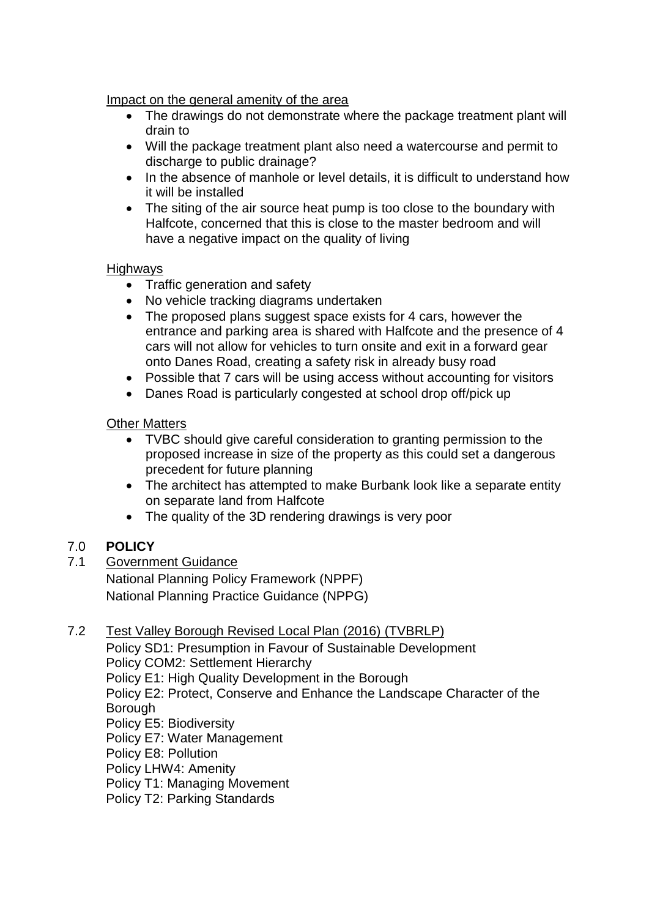# Impact on the general amenity of the area

- The drawings do not demonstrate where the package treatment plant will drain to
- Will the package treatment plant also need a watercourse and permit to discharge to public drainage?
- In the absence of manhole or level details, it is difficult to understand how it will be installed
- The siting of the air source heat pump is too close to the boundary with Halfcote, concerned that this is close to the master bedroom and will have a negative impact on the quality of living

### **Highways**

- Traffic generation and safety
- No vehicle tracking diagrams undertaken
- The proposed plans suggest space exists for 4 cars, however the entrance and parking area is shared with Halfcote and the presence of 4 cars will not allow for vehicles to turn onsite and exit in a forward gear onto Danes Road, creating a safety risk in already busy road
- Possible that 7 cars will be using access without accounting for visitors
- Danes Road is particularly congested at school drop off/pick up

### Other Matters

- TVBC should give careful consideration to granting permission to the proposed increase in size of the property as this could set a dangerous precedent for future planning
- The architect has attempted to make Burbank look like a separate entity on separate land from Halfcote
- The quality of the 3D rendering drawings is very poor

# 7.0 **POLICY**

7.1 Government Guidance

National Planning Policy Framework (NPPF) National Planning Practice Guidance (NPPG)

# 7.2 Test Valley Borough Revised Local Plan (2016) (TVBRLP)

Policy SD1: Presumption in Favour of Sustainable Development Policy COM2: Settlement Hierarchy Policy E1: High Quality Development in the Borough Policy E2: Protect, Conserve and Enhance the Landscape Character of the Borough Policy E5: Biodiversity Policy E7: Water Management Policy E8: Pollution Policy LHW4: Amenity Policy T1: Managing Movement Policy T2: Parking Standards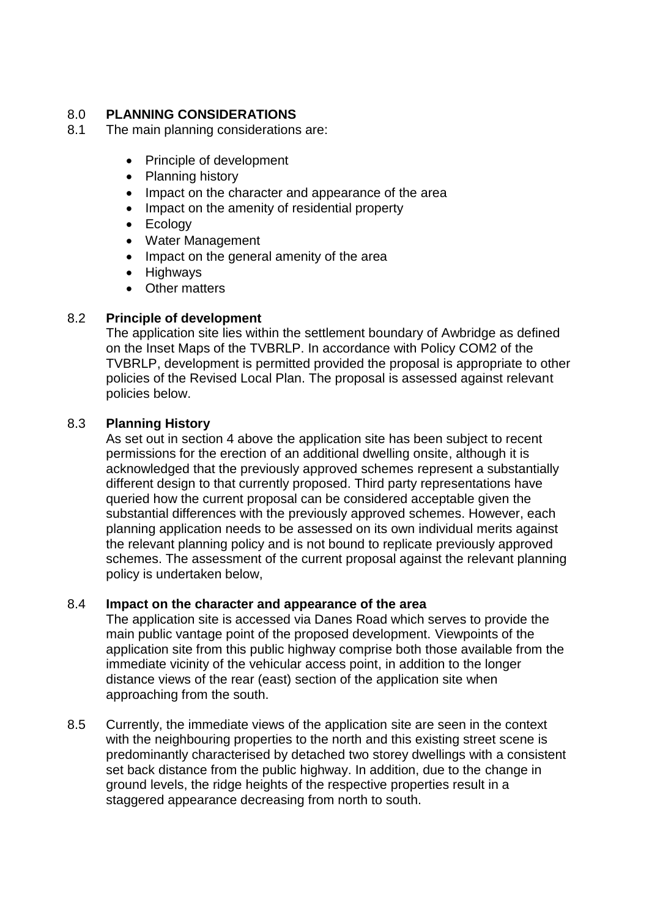# 8.0 **PLANNING CONSIDERATIONS**

- 8.1 The main planning considerations are:
	- Principle of development
	- Planning history
	- Impact on the character and appearance of the area
	- Impact on the amenity of residential property
	- Ecology
	- Water Management
	- Impact on the general amenity of the area
	- Highways
	- Other matters

### 8.2 **Principle of development**

The application site lies within the settlement boundary of Awbridge as defined on the Inset Maps of the TVBRLP. In accordance with Policy COM2 of the TVBRLP, development is permitted provided the proposal is appropriate to other policies of the Revised Local Plan. The proposal is assessed against relevant policies below.

### 8.3 **Planning History**

As set out in section 4 above the application site has been subject to recent permissions for the erection of an additional dwelling onsite, although it is acknowledged that the previously approved schemes represent a substantially different design to that currently proposed. Third party representations have queried how the current proposal can be considered acceptable given the substantial differences with the previously approved schemes. However, each planning application needs to be assessed on its own individual merits against the relevant planning policy and is not bound to replicate previously approved schemes. The assessment of the current proposal against the relevant planning policy is undertaken below,

### 8.4 **Impact on the character and appearance of the area**

The application site is accessed via Danes Road which serves to provide the main public vantage point of the proposed development. Viewpoints of the application site from this public highway comprise both those available from the immediate vicinity of the vehicular access point, in addition to the longer distance views of the rear (east) section of the application site when approaching from the south.

8.5 Currently, the immediate views of the application site are seen in the context with the neighbouring properties to the north and this existing street scene is predominantly characterised by detached two storey dwellings with a consistent set back distance from the public highway. In addition, due to the change in ground levels, the ridge heights of the respective properties result in a staggered appearance decreasing from north to south.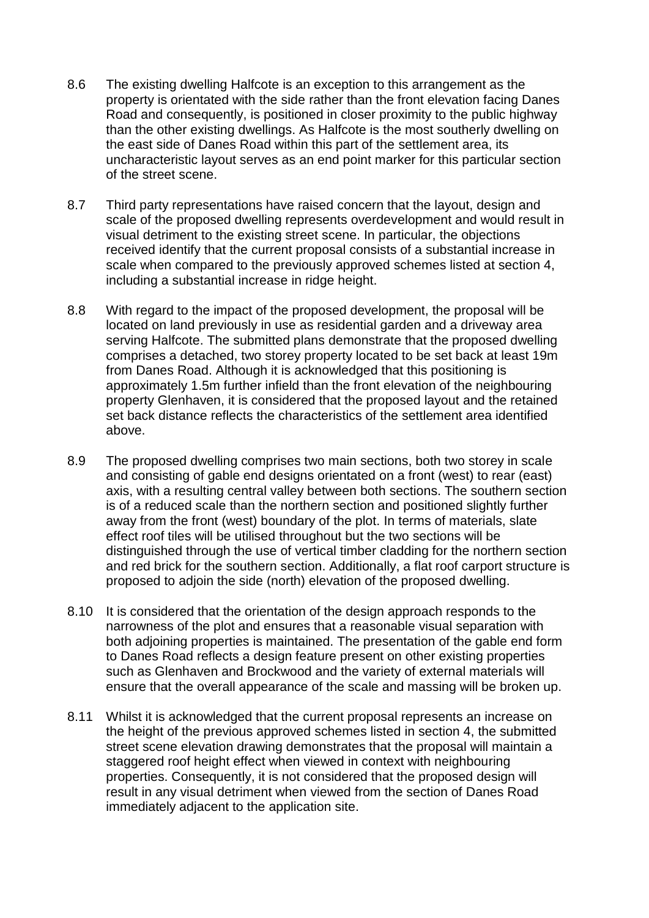- 8.6 The existing dwelling Halfcote is an exception to this arrangement as the property is orientated with the side rather than the front elevation facing Danes Road and consequently, is positioned in closer proximity to the public highway than the other existing dwellings. As Halfcote is the most southerly dwelling on the east side of Danes Road within this part of the settlement area, its uncharacteristic layout serves as an end point marker for this particular section of the street scene.
- 8.7 Third party representations have raised concern that the layout, design and scale of the proposed dwelling represents overdevelopment and would result in visual detriment to the existing street scene. In particular, the objections received identify that the current proposal consists of a substantial increase in scale when compared to the previously approved schemes listed at section 4, including a substantial increase in ridge height.
- 8.8 With regard to the impact of the proposed development, the proposal will be located on land previously in use as residential garden and a driveway area serving Halfcote. The submitted plans demonstrate that the proposed dwelling comprises a detached, two storey property located to be set back at least 19m from Danes Road. Although it is acknowledged that this positioning is approximately 1.5m further infield than the front elevation of the neighbouring property Glenhaven, it is considered that the proposed layout and the retained set back distance reflects the characteristics of the settlement area identified above.
- 8.9 The proposed dwelling comprises two main sections, both two storey in scale and consisting of gable end designs orientated on a front (west) to rear (east) axis, with a resulting central valley between both sections. The southern section is of a reduced scale than the northern section and positioned slightly further away from the front (west) boundary of the plot. In terms of materials, slate effect roof tiles will be utilised throughout but the two sections will be distinguished through the use of vertical timber cladding for the northern section and red brick for the southern section. Additionally, a flat roof carport structure is proposed to adjoin the side (north) elevation of the proposed dwelling.
- 8.10 It is considered that the orientation of the design approach responds to the narrowness of the plot and ensures that a reasonable visual separation with both adjoining properties is maintained. The presentation of the gable end form to Danes Road reflects a design feature present on other existing properties such as Glenhaven and Brockwood and the variety of external materials will ensure that the overall appearance of the scale and massing will be broken up.
- 8.11 Whilst it is acknowledged that the current proposal represents an increase on the height of the previous approved schemes listed in section 4, the submitted street scene elevation drawing demonstrates that the proposal will maintain a staggered roof height effect when viewed in context with neighbouring properties. Consequently, it is not considered that the proposed design will result in any visual detriment when viewed from the section of Danes Road immediately adjacent to the application site.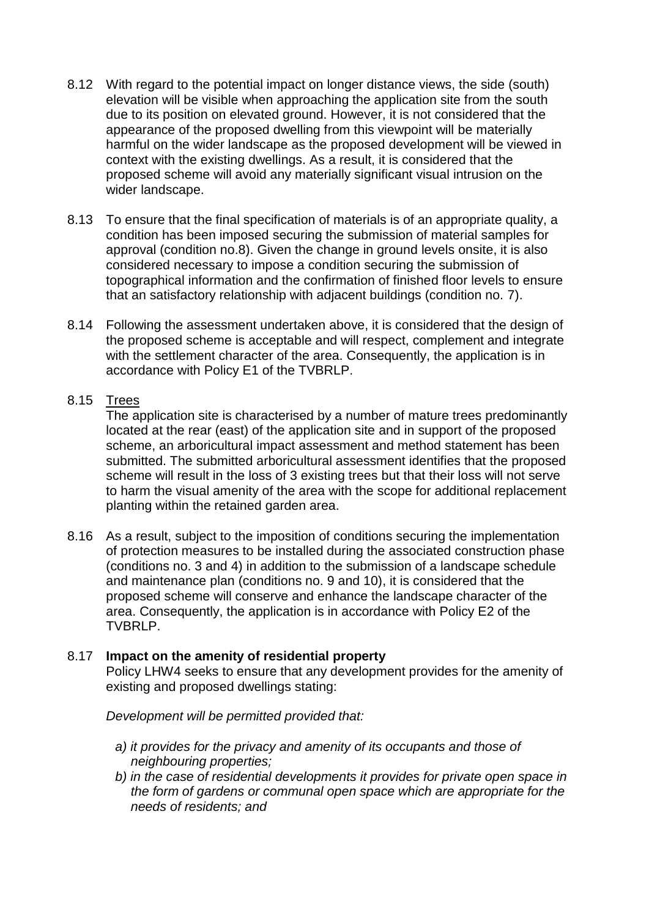- 8.12 With regard to the potential impact on longer distance views, the side (south) elevation will be visible when approaching the application site from the south due to its position on elevated ground. However, it is not considered that the appearance of the proposed dwelling from this viewpoint will be materially harmful on the wider landscape as the proposed development will be viewed in context with the existing dwellings. As a result, it is considered that the proposed scheme will avoid any materially significant visual intrusion on the wider landscape.
- 8.13 To ensure that the final specification of materials is of an appropriate quality, a condition has been imposed securing the submission of material samples for approval (condition no.8). Given the change in ground levels onsite, it is also considered necessary to impose a condition securing the submission of topographical information and the confirmation of finished floor levels to ensure that an satisfactory relationship with adjacent buildings (condition no. 7).
- 8.14 Following the assessment undertaken above, it is considered that the design of the proposed scheme is acceptable and will respect, complement and integrate with the settlement character of the area. Consequently, the application is in accordance with Policy E1 of the TVBRLP.

# 8.15 Trees

The application site is characterised by a number of mature trees predominantly located at the rear (east) of the application site and in support of the proposed scheme, an arboricultural impact assessment and method statement has been submitted. The submitted arboricultural assessment identifies that the proposed scheme will result in the loss of 3 existing trees but that their loss will not serve to harm the visual amenity of the area with the scope for additional replacement planting within the retained garden area.

8.16 As a result, subject to the imposition of conditions securing the implementation of protection measures to be installed during the associated construction phase (conditions no. 3 and 4) in addition to the submission of a landscape schedule and maintenance plan (conditions no. 9 and 10), it is considered that the proposed scheme will conserve and enhance the landscape character of the area. Consequently, the application is in accordance with Policy E2 of the TVBRLP.

### 8.17 **Impact on the amenity of residential property**

Policy LHW4 seeks to ensure that any development provides for the amenity of existing and proposed dwellings stating:

*Development will be permitted provided that:*

- *a) it provides for the privacy and amenity of its occupants and those of neighbouring properties;*
- *b) in the case of residential developments it provides for private open space in the form of gardens or communal open space which are appropriate for the needs of residents; and*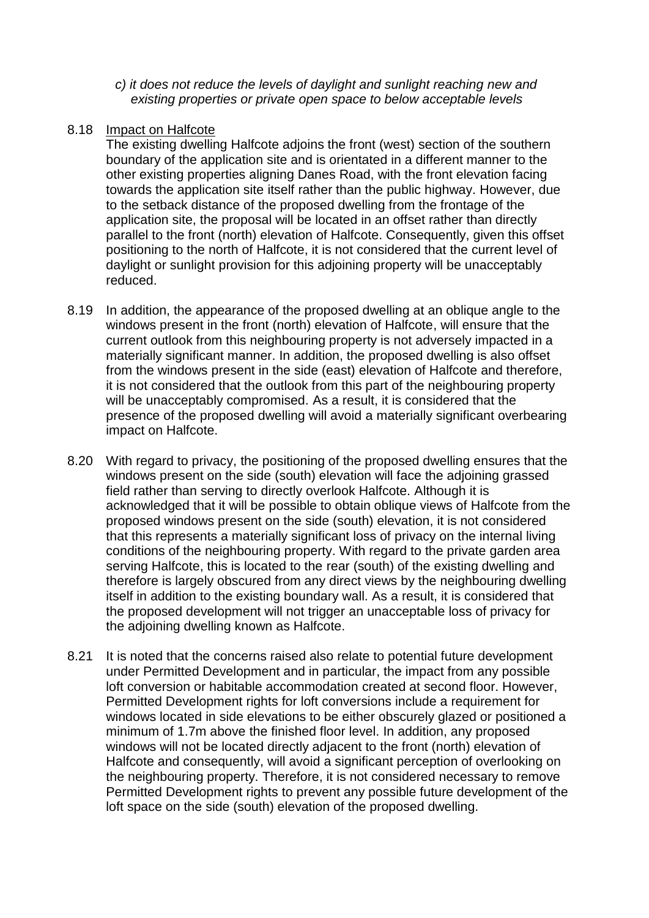- *c) it does not reduce the levels of daylight and sunlight reaching new and existing properties or private open space to below acceptable levels*
- 8.18 Impact on Halfcote

The existing dwelling Halfcote adjoins the front (west) section of the southern boundary of the application site and is orientated in a different manner to the other existing properties aligning Danes Road, with the front elevation facing towards the application site itself rather than the public highway. However, due to the setback distance of the proposed dwelling from the frontage of the application site, the proposal will be located in an offset rather than directly parallel to the front (north) elevation of Halfcote. Consequently, given this offset positioning to the north of Halfcote, it is not considered that the current level of daylight or sunlight provision for this adjoining property will be unacceptably reduced.

- 8.19 In addition, the appearance of the proposed dwelling at an oblique angle to the windows present in the front (north) elevation of Halfcote, will ensure that the current outlook from this neighbouring property is not adversely impacted in a materially significant manner. In addition, the proposed dwelling is also offset from the windows present in the side (east) elevation of Halfcote and therefore, it is not considered that the outlook from this part of the neighbouring property will be unacceptably compromised. As a result, it is considered that the presence of the proposed dwelling will avoid a materially significant overbearing impact on Halfcote.
- 8.20 With regard to privacy, the positioning of the proposed dwelling ensures that the windows present on the side (south) elevation will face the adjoining grassed field rather than serving to directly overlook Halfcote. Although it is acknowledged that it will be possible to obtain oblique views of Halfcote from the proposed windows present on the side (south) elevation, it is not considered that this represents a materially significant loss of privacy on the internal living conditions of the neighbouring property. With regard to the private garden area serving Halfcote, this is located to the rear (south) of the existing dwelling and therefore is largely obscured from any direct views by the neighbouring dwelling itself in addition to the existing boundary wall. As a result, it is considered that the proposed development will not trigger an unacceptable loss of privacy for the adjoining dwelling known as Halfcote.
- 8.21 It is noted that the concerns raised also relate to potential future development under Permitted Development and in particular, the impact from any possible loft conversion or habitable accommodation created at second floor. However, Permitted Development rights for loft conversions include a requirement for windows located in side elevations to be either obscurely glazed or positioned a minimum of 1.7m above the finished floor level. In addition, any proposed windows will not be located directly adjacent to the front (north) elevation of Halfcote and consequently, will avoid a significant perception of overlooking on the neighbouring property. Therefore, it is not considered necessary to remove Permitted Development rights to prevent any possible future development of the loft space on the side (south) elevation of the proposed dwelling.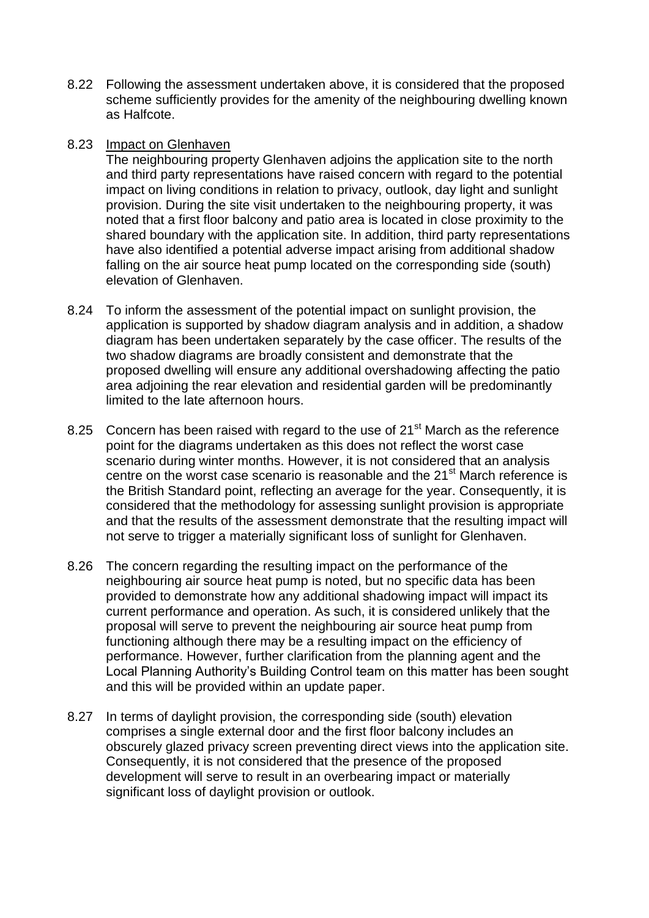8.22 Following the assessment undertaken above, it is considered that the proposed scheme sufficiently provides for the amenity of the neighbouring dwelling known as Halfcote.

#### 8.23 Impact on Glenhaven

The neighbouring property Glenhaven adjoins the application site to the north and third party representations have raised concern with regard to the potential impact on living conditions in relation to privacy, outlook, day light and sunlight provision. During the site visit undertaken to the neighbouring property, it was noted that a first floor balcony and patio area is located in close proximity to the shared boundary with the application site. In addition, third party representations have also identified a potential adverse impact arising from additional shadow falling on the air source heat pump located on the corresponding side (south) elevation of Glenhaven.

- 8.24 To inform the assessment of the potential impact on sunlight provision, the application is supported by shadow diagram analysis and in addition, a shadow diagram has been undertaken separately by the case officer. The results of the two shadow diagrams are broadly consistent and demonstrate that the proposed dwelling will ensure any additional overshadowing affecting the patio area adjoining the rear elevation and residential garden will be predominantly limited to the late afternoon hours.
- 8.25 Concern has been raised with regard to the use of 21<sup>st</sup> March as the reference point for the diagrams undertaken as this does not reflect the worst case scenario during winter months. However, it is not considered that an analysis centre on the worst case scenario is reasonable and the 21<sup>st</sup> March reference is the British Standard point, reflecting an average for the year. Consequently, it is considered that the methodology for assessing sunlight provision is appropriate and that the results of the assessment demonstrate that the resulting impact will not serve to trigger a materially significant loss of sunlight for Glenhaven.
- 8.26 The concern regarding the resulting impact on the performance of the neighbouring air source heat pump is noted, but no specific data has been provided to demonstrate how any additional shadowing impact will impact its current performance and operation. As such, it is considered unlikely that the proposal will serve to prevent the neighbouring air source heat pump from functioning although there may be a resulting impact on the efficiency of performance. However, further clarification from the planning agent and the Local Planning Authority's Building Control team on this matter has been sought and this will be provided within an update paper.
- 8.27 In terms of daylight provision, the corresponding side (south) elevation comprises a single external door and the first floor balcony includes an obscurely glazed privacy screen preventing direct views into the application site. Consequently, it is not considered that the presence of the proposed development will serve to result in an overbearing impact or materially significant loss of daylight provision or outlook.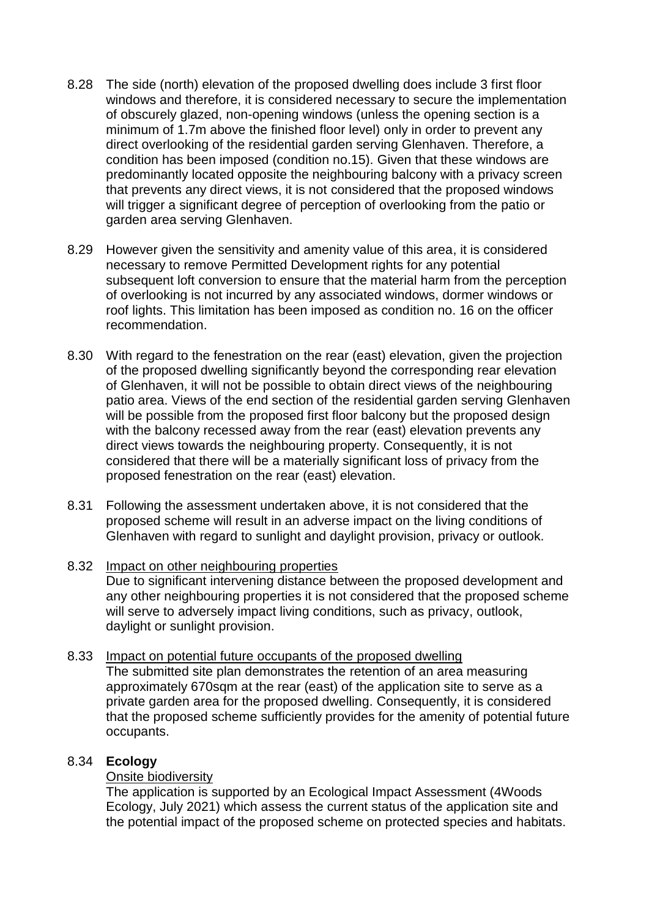- 8.28 The side (north) elevation of the proposed dwelling does include 3 first floor windows and therefore, it is considered necessary to secure the implementation of obscurely glazed, non-opening windows (unless the opening section is a minimum of 1.7m above the finished floor level) only in order to prevent any direct overlooking of the residential garden serving Glenhaven. Therefore, a condition has been imposed (condition no.15). Given that these windows are predominantly located opposite the neighbouring balcony with a privacy screen that prevents any direct views, it is not considered that the proposed windows will trigger a significant degree of perception of overlooking from the patio or garden area serving Glenhaven.
- 8.29 However given the sensitivity and amenity value of this area, it is considered necessary to remove Permitted Development rights for any potential subsequent loft conversion to ensure that the material harm from the perception of overlooking is not incurred by any associated windows, dormer windows or roof lights. This limitation has been imposed as condition no. 16 on the officer recommendation.
- 8.30 With regard to the fenestration on the rear (east) elevation, given the projection of the proposed dwelling significantly beyond the corresponding rear elevation of Glenhaven, it will not be possible to obtain direct views of the neighbouring patio area. Views of the end section of the residential garden serving Glenhaven will be possible from the proposed first floor balcony but the proposed design with the balcony recessed away from the rear (east) elevation prevents any direct views towards the neighbouring property. Consequently, it is not considered that there will be a materially significant loss of privacy from the proposed fenestration on the rear (east) elevation.
- 8.31 Following the assessment undertaken above, it is not considered that the proposed scheme will result in an adverse impact on the living conditions of Glenhaven with regard to sunlight and daylight provision, privacy or outlook.
- 8.32 Impact on other neighbouring properties Due to significant intervening distance between the proposed development and any other neighbouring properties it is not considered that the proposed scheme will serve to adversely impact living conditions, such as privacy, outlook, daylight or sunlight provision.
- 8.33 Impact on potential future occupants of the proposed dwelling The submitted site plan demonstrates the retention of an area measuring approximately 670sqm at the rear (east) of the application site to serve as a private garden area for the proposed dwelling. Consequently, it is considered that the proposed scheme sufficiently provides for the amenity of potential future occupants.

### 8.34 **Ecology**

# **Onsite biodiversitv**

The application is supported by an Ecological Impact Assessment (4Woods Ecology, July 2021) which assess the current status of the application site and the potential impact of the proposed scheme on protected species and habitats.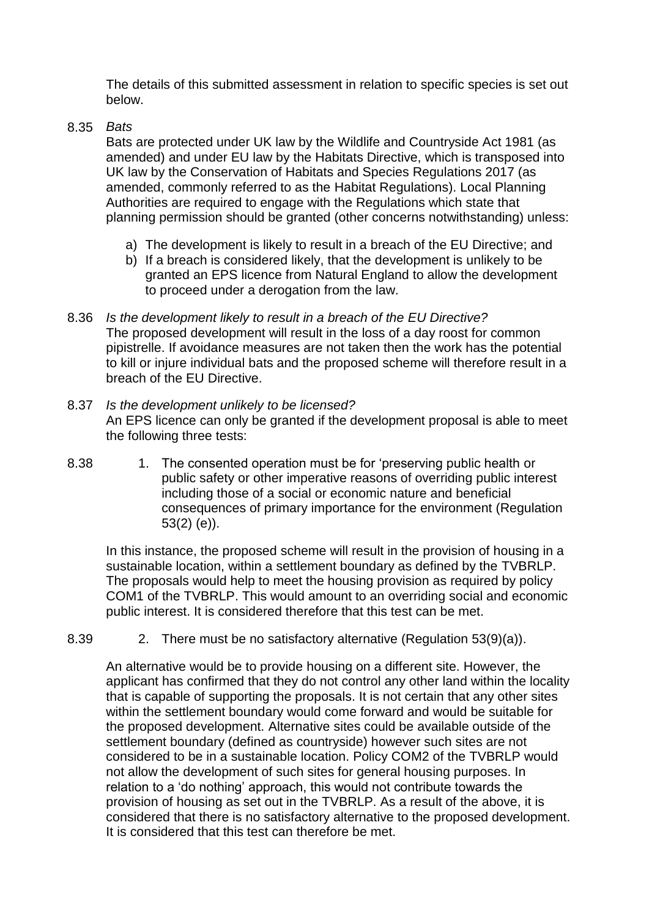The details of this submitted assessment in relation to specific species is set out below.

8.35 *Bats*

Bats are protected under UK law by the Wildlife and Countryside Act 1981 (as amended) and under EU law by the Habitats Directive, which is transposed into UK law by the Conservation of Habitats and Species Regulations 2017 (as amended, commonly referred to as the Habitat Regulations). Local Planning Authorities are required to engage with the Regulations which state that planning permission should be granted (other concerns notwithstanding) unless:

- a) The development is likely to result in a breach of the EU Directive; and
- b) If a breach is considered likely, that the development is unlikely to be granted an EPS licence from Natural England to allow the development to proceed under a derogation from the law.
- 8.36 *Is the development likely to result in a breach of the EU Directive?* The proposed development will result in the loss of a day roost for common pipistrelle. If avoidance measures are not taken then the work has the potential to kill or injure individual bats and the proposed scheme will therefore result in a breach of the EU Directive.
- 8.37 *Is the development unlikely to be licensed?* An EPS licence can only be granted if the development proposal is able to meet the following three tests:
- 8.38 1. The consented operation must be for 'preserving public health or public safety or other imperative reasons of overriding public interest including those of a social or economic nature and beneficial consequences of primary importance for the environment (Regulation 53(2) (e)).

In this instance, the proposed scheme will result in the provision of housing in a sustainable location, within a settlement boundary as defined by the TVBRLP. The proposals would help to meet the housing provision as required by policy COM1 of the TVBRLP. This would amount to an overriding social and economic public interest. It is considered therefore that this test can be met.

8.39 2. There must be no satisfactory alternative (Regulation 53(9)(a)).

An alternative would be to provide housing on a different site. However, the applicant has confirmed that they do not control any other land within the locality that is capable of supporting the proposals. It is not certain that any other sites within the settlement boundary would come forward and would be suitable for the proposed development. Alternative sites could be available outside of the settlement boundary (defined as countryside) however such sites are not considered to be in a sustainable location. Policy COM2 of the TVBRLP would not allow the development of such sites for general housing purposes. In relation to a 'do nothing' approach, this would not contribute towards the provision of housing as set out in the TVBRLP. As a result of the above, it is considered that there is no satisfactory alternative to the proposed development. It is considered that this test can therefore be met.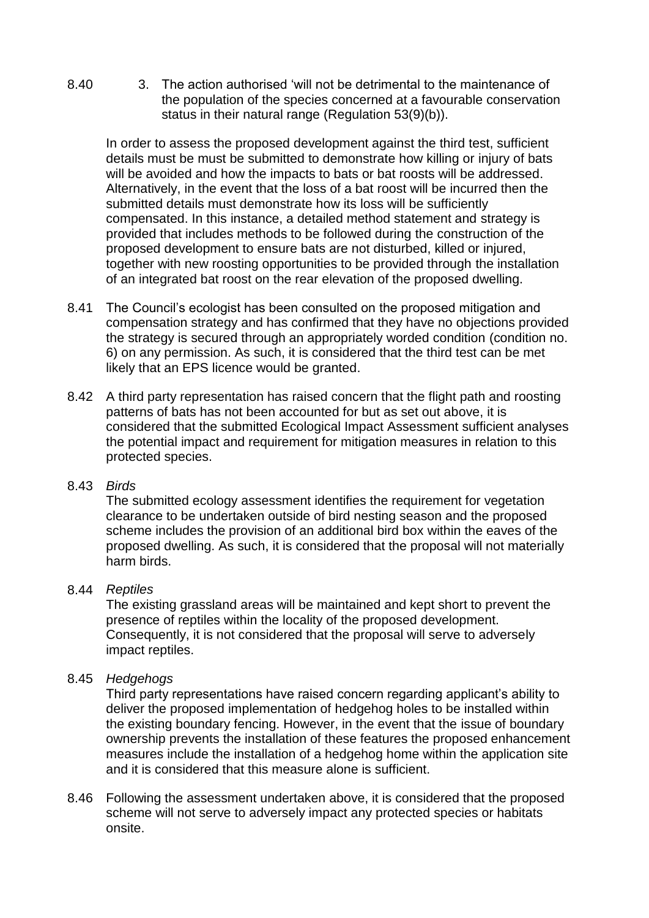8.40 3. The action authorised 'will not be detrimental to the maintenance of the population of the species concerned at a favourable conservation status in their natural range (Regulation 53(9)(b)).

In order to assess the proposed development against the third test, sufficient details must be must be submitted to demonstrate how killing or injury of bats will be avoided and how the impacts to bats or bat roosts will be addressed. Alternatively, in the event that the loss of a bat roost will be incurred then the submitted details must demonstrate how its loss will be sufficiently compensated. In this instance, a detailed method statement and strategy is provided that includes methods to be followed during the construction of the proposed development to ensure bats are not disturbed, killed or injured, together with new roosting opportunities to be provided through the installation of an integrated bat roost on the rear elevation of the proposed dwelling.

- 8.41 The Council's ecologist has been consulted on the proposed mitigation and compensation strategy and has confirmed that they have no objections provided the strategy is secured through an appropriately worded condition (condition no. 6) on any permission. As such, it is considered that the third test can be met likely that an EPS licence would be granted.
- 8.42 A third party representation has raised concern that the flight path and roosting patterns of bats has not been accounted for but as set out above, it is considered that the submitted Ecological Impact Assessment sufficient analyses the potential impact and requirement for mitigation measures in relation to this protected species.

#### 8.43 *Birds*

The submitted ecology assessment identifies the requirement for vegetation clearance to be undertaken outside of bird nesting season and the proposed scheme includes the provision of an additional bird box within the eaves of the proposed dwelling. As such, it is considered that the proposal will not materially harm birds.

#### 8.44 *Reptiles*

The existing grassland areas will be maintained and kept short to prevent the presence of reptiles within the locality of the proposed development. Consequently, it is not considered that the proposal will serve to adversely impact reptiles.

### 8.45 *Hedgehogs*

Third party representations have raised concern regarding applicant's ability to deliver the proposed implementation of hedgehog holes to be installed within the existing boundary fencing. However, in the event that the issue of boundary ownership prevents the installation of these features the proposed enhancement measures include the installation of a hedgehog home within the application site and it is considered that this measure alone is sufficient.

8.46 Following the assessment undertaken above, it is considered that the proposed scheme will not serve to adversely impact any protected species or habitats onsite.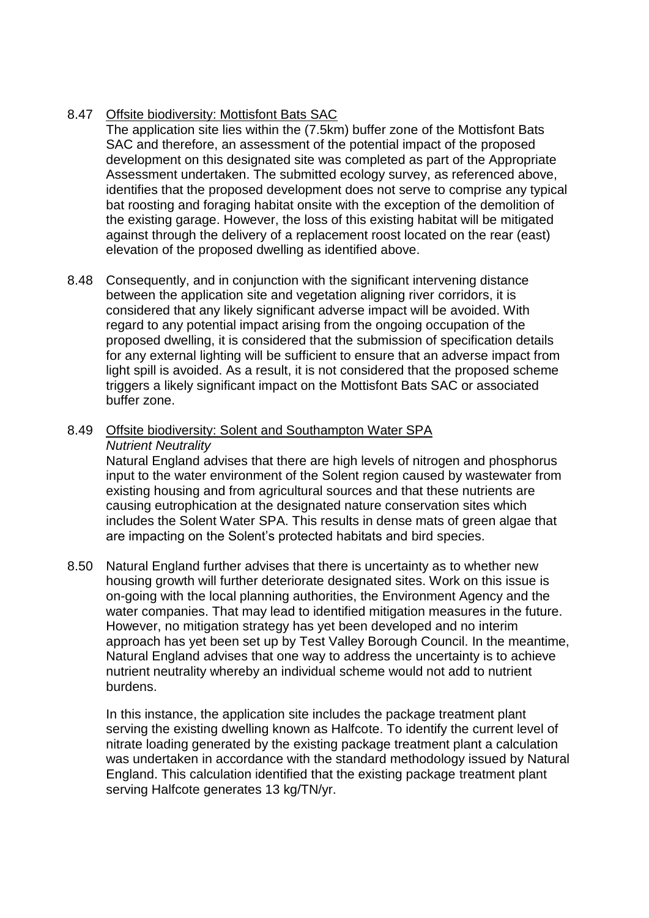# 8.47 Offsite biodiversity: Mottisfont Bats SAC

The application site lies within the (7.5km) buffer zone of the Mottisfont Bats SAC and therefore, an assessment of the potential impact of the proposed development on this designated site was completed as part of the Appropriate Assessment undertaken. The submitted ecology survey, as referenced above, identifies that the proposed development does not serve to comprise any typical bat roosting and foraging habitat onsite with the exception of the demolition of the existing garage. However, the loss of this existing habitat will be mitigated against through the delivery of a replacement roost located on the rear (east) elevation of the proposed dwelling as identified above.

8.48 Consequently, and in conjunction with the significant intervening distance between the application site and vegetation aligning river corridors, it is considered that any likely significant adverse impact will be avoided. With regard to any potential impact arising from the ongoing occupation of the proposed dwelling, it is considered that the submission of specification details for any external lighting will be sufficient to ensure that an adverse impact from light spill is avoided. As a result, it is not considered that the proposed scheme triggers a likely significant impact on the Mottisfont Bats SAC or associated buffer zone.

### 8.49 Offsite biodiversity: Solent and Southampton Water SPA *Nutrient Neutrality*

Natural England advises that there are high levels of nitrogen and phosphorus input to the water environment of the Solent region caused by wastewater from existing housing and from agricultural sources and that these nutrients are causing eutrophication at the designated nature conservation sites which includes the Solent Water SPA. This results in dense mats of green algae that are impacting on the Solent's protected habitats and bird species.

8.50 Natural England further advises that there is uncertainty as to whether new housing growth will further deteriorate designated sites. Work on this issue is on-going with the local planning authorities, the Environment Agency and the water companies. That may lead to identified mitigation measures in the future. However, no mitigation strategy has yet been developed and no interim approach has yet been set up by Test Valley Borough Council. In the meantime, Natural England advises that one way to address the uncertainty is to achieve nutrient neutrality whereby an individual scheme would not add to nutrient burdens.

In this instance, the application site includes the package treatment plant serving the existing dwelling known as Halfcote. To identify the current level of nitrate loading generated by the existing package treatment plant a calculation was undertaken in accordance with the standard methodology issued by Natural England. This calculation identified that the existing package treatment plant serving Halfcote generates 13 kg/TN/yr.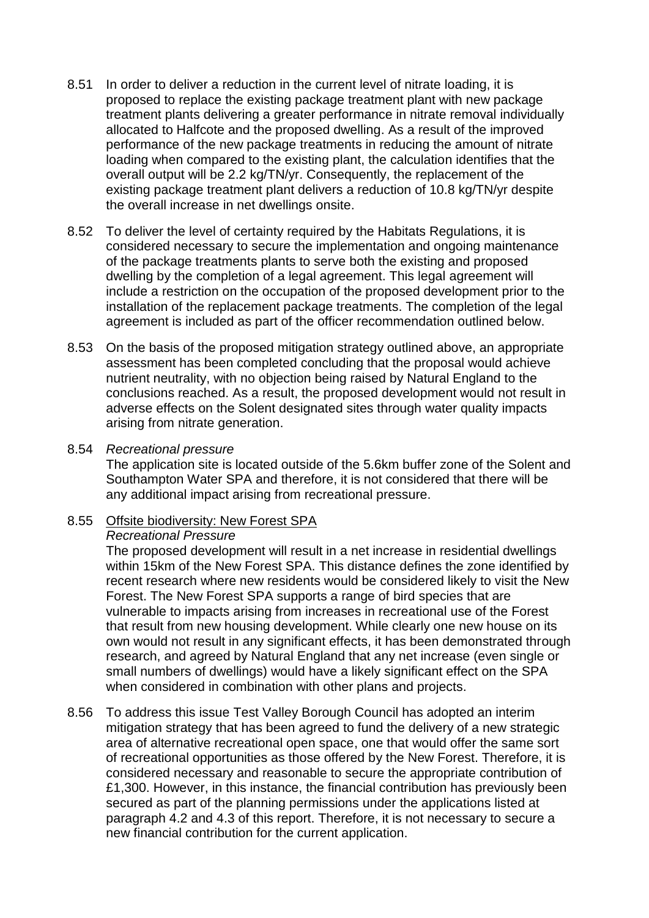- 8.51 In order to deliver a reduction in the current level of nitrate loading, it is proposed to replace the existing package treatment plant with new package treatment plants delivering a greater performance in nitrate removal individually allocated to Halfcote and the proposed dwelling. As a result of the improved performance of the new package treatments in reducing the amount of nitrate loading when compared to the existing plant, the calculation identifies that the overall output will be 2.2 kg/TN/yr. Consequently, the replacement of the existing package treatment plant delivers a reduction of 10.8 kg/TN/yr despite the overall increase in net dwellings onsite.
- 8.52 To deliver the level of certainty required by the Habitats Regulations, it is considered necessary to secure the implementation and ongoing maintenance of the package treatments plants to serve both the existing and proposed dwelling by the completion of a legal agreement. This legal agreement will include a restriction on the occupation of the proposed development prior to the installation of the replacement package treatments. The completion of the legal agreement is included as part of the officer recommendation outlined below.
- 8.53 On the basis of the proposed mitigation strategy outlined above, an appropriate assessment has been completed concluding that the proposal would achieve nutrient neutrality, with no objection being raised by Natural England to the conclusions reached. As a result, the proposed development would not result in adverse effects on the Solent designated sites through water quality impacts arising from nitrate generation.

#### 8.54 *Recreational pressure*

The application site is located outside of the 5.6km buffer zone of the Solent and Southampton Water SPA and therefore, it is not considered that there will be any additional impact arising from recreational pressure.

### 8.55 Offsite biodiversity: New Forest SPA

#### *Recreational Pressure*

The proposed development will result in a net increase in residential dwellings within 15km of the New Forest SPA. This distance defines the zone identified by recent research where new residents would be considered likely to visit the New Forest. The New Forest SPA supports a range of bird species that are vulnerable to impacts arising from increases in recreational use of the Forest that result from new housing development. While clearly one new house on its own would not result in any significant effects, it has been demonstrated through research, and agreed by Natural England that any net increase (even single or small numbers of dwellings) would have a likely significant effect on the SPA when considered in combination with other plans and projects.

8.56 To address this issue Test Valley Borough Council has adopted an interim mitigation strategy that has been agreed to fund the delivery of a new strategic area of alternative recreational open space, one that would offer the same sort of recreational opportunities as those offered by the New Forest. Therefore, it is considered necessary and reasonable to secure the appropriate contribution of £1,300. However, in this instance, the financial contribution has previously been secured as part of the planning permissions under the applications listed at paragraph 4.2 and 4.3 of this report. Therefore, it is not necessary to secure a new financial contribution for the current application.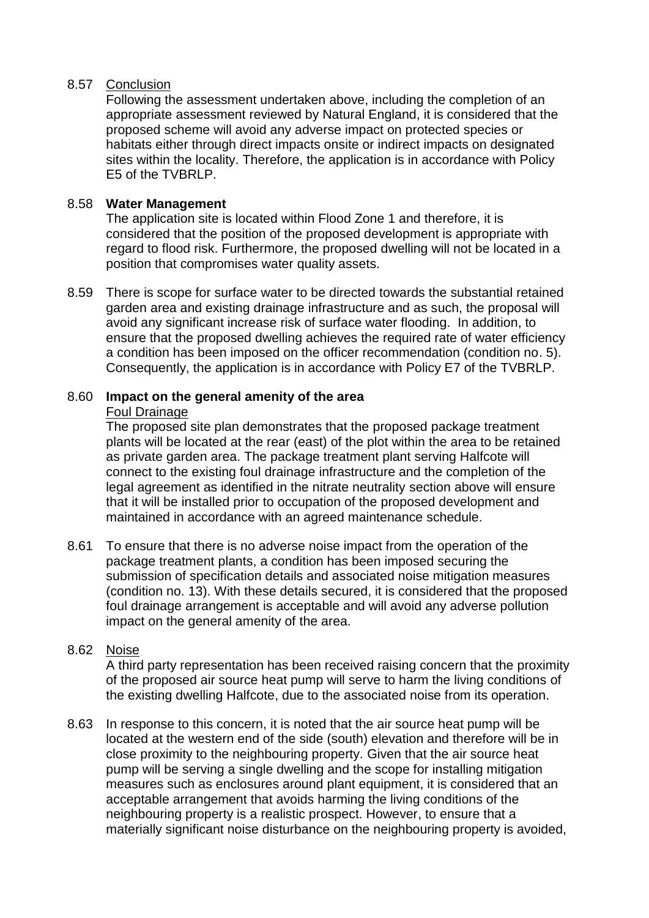### 8.57 Conclusion

Following the assessment undertaken above, including the completion of an appropriate assessment reviewed by Natural England, it is considered that the proposed scheme will avoid any adverse impact on protected species or habitats either through direct impacts onsite or indirect impacts on designated sites within the locality. Therefore, the application is in accordance with Policy E5 of the TVBRLP.

### 8.58 **Water Management**

The application site is located within Flood Zone 1 and therefore, it is considered that the position of the proposed development is appropriate with regard to flood risk. Furthermore, the proposed dwelling will not be located in a position that compromises water quality assets.

8.59 There is scope for surface water to be directed towards the substantial retained garden area and existing drainage infrastructure and as such, the proposal will avoid any significant increase risk of surface water flooding. In addition, to ensure that the proposed dwelling achieves the required rate of water efficiency a condition has been imposed on the officer recommendation (condition no. 5). Consequently, the application is in accordance with Policy E7 of the TVBRLP.

#### 8.60 **Impact on the general amenity of the area** Foul Drainage

The proposed site plan demonstrates that the proposed package treatment plants will be located at the rear (east) of the plot within the area to be retained as private garden area. The package treatment plant serving Halfcote will connect to the existing foul drainage infrastructure and the completion of the legal agreement as identified in the nitrate neutrality section above will ensure that it will be installed prior to occupation of the proposed development and maintained in accordance with an agreed maintenance schedule.

8.61 To ensure that there is no adverse noise impact from the operation of the package treatment plants, a condition has been imposed securing the submission of specification details and associated noise mitigation measures (condition no. 13). With these details secured, it is considered that the proposed foul drainage arrangement is acceptable and will avoid any adverse pollution impact on the general amenity of the area.

# 8.62 Noise

A third party representation has been received raising concern that the proximity of the proposed air source heat pump will serve to harm the living conditions of the existing dwelling Halfcote, due to the associated noise from its operation.

8.63 In response to this concern, it is noted that the air source heat pump will be located at the western end of the side (south) elevation and therefore will be in close proximity to the neighbouring property. Given that the air source heat pump will be serving a single dwelling and the scope for installing mitigation measures such as enclosures around plant equipment, it is considered that an acceptable arrangement that avoids harming the living conditions of the neighbouring property is a realistic prospect. However, to ensure that a materially significant noise disturbance on the neighbouring property is avoided,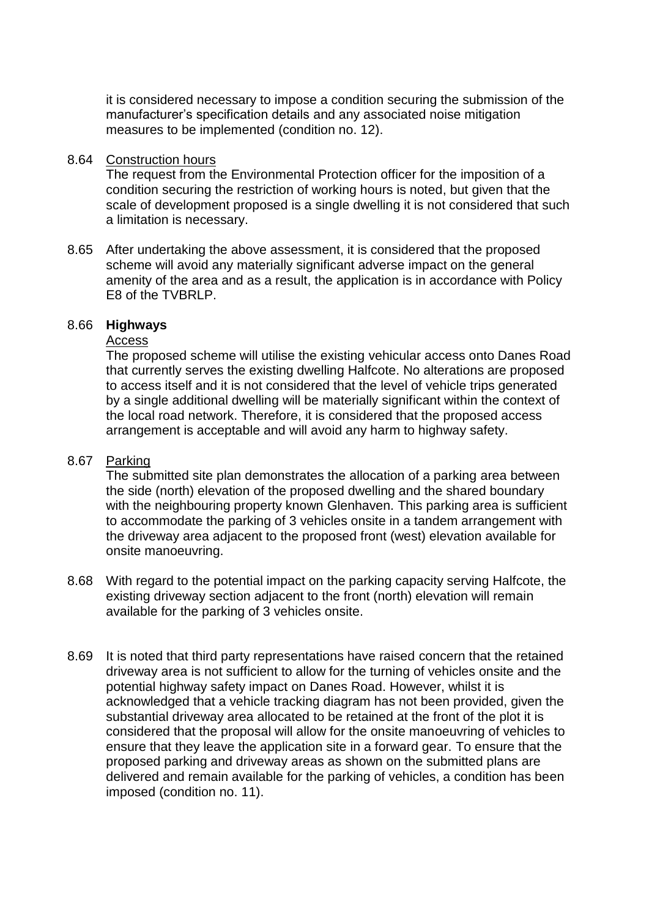it is considered necessary to impose a condition securing the submission of the manufacturer's specification details and any associated noise mitigation measures to be implemented (condition no. 12).

#### 8.64 Construction hours

The request from the Environmental Protection officer for the imposition of a condition securing the restriction of working hours is noted, but given that the scale of development proposed is a single dwelling it is not considered that such a limitation is necessary.

8.65 After undertaking the above assessment, it is considered that the proposed scheme will avoid any materially significant adverse impact on the general amenity of the area and as a result, the application is in accordance with Policy E8 of the TVBRLP.

### 8.66 **Highways**

### Access

The proposed scheme will utilise the existing vehicular access onto Danes Road that currently serves the existing dwelling Halfcote. No alterations are proposed to access itself and it is not considered that the level of vehicle trips generated by a single additional dwelling will be materially significant within the context of the local road network. Therefore, it is considered that the proposed access arrangement is acceptable and will avoid any harm to highway safety.

### 8.67 Parking

The submitted site plan demonstrates the allocation of a parking area between the side (north) elevation of the proposed dwelling and the shared boundary with the neighbouring property known Glenhaven. This parking area is sufficient to accommodate the parking of 3 vehicles onsite in a tandem arrangement with the driveway area adjacent to the proposed front (west) elevation available for onsite manoeuvring.

- 8.68 With regard to the potential impact on the parking capacity serving Halfcote, the existing driveway section adjacent to the front (north) elevation will remain available for the parking of 3 vehicles onsite.
- 8.69 It is noted that third party representations have raised concern that the retained driveway area is not sufficient to allow for the turning of vehicles onsite and the potential highway safety impact on Danes Road. However, whilst it is acknowledged that a vehicle tracking diagram has not been provided, given the substantial driveway area allocated to be retained at the front of the plot it is considered that the proposal will allow for the onsite manoeuvring of vehicles to ensure that they leave the application site in a forward gear. To ensure that the proposed parking and driveway areas as shown on the submitted plans are delivered and remain available for the parking of vehicles, a condition has been imposed (condition no. 11).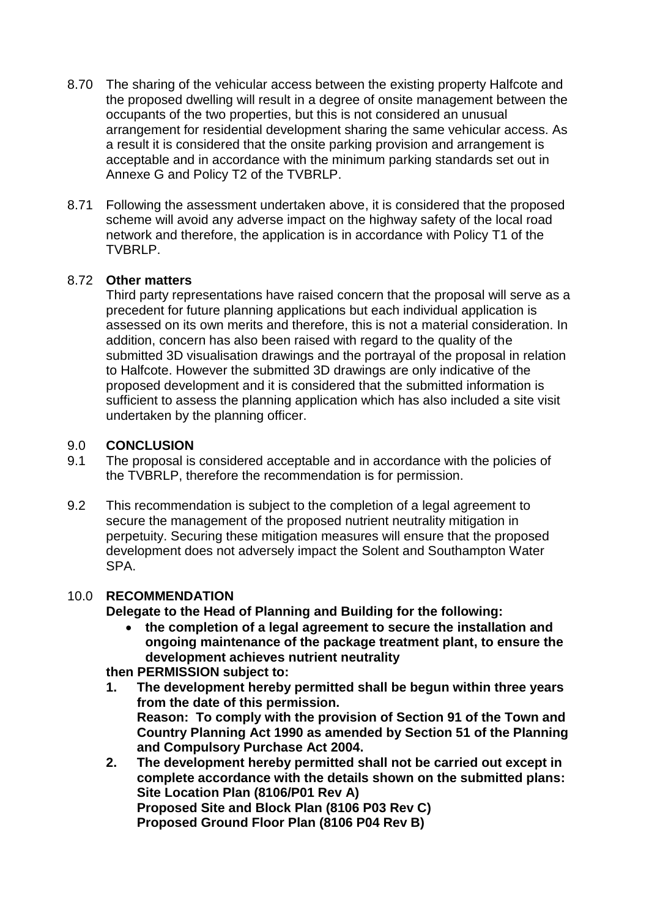- 8.70 The sharing of the vehicular access between the existing property Halfcote and the proposed dwelling will result in a degree of onsite management between the occupants of the two properties, but this is not considered an unusual arrangement for residential development sharing the same vehicular access. As a result it is considered that the onsite parking provision and arrangement is acceptable and in accordance with the minimum parking standards set out in Annexe G and Policy T2 of the TVBRLP.
- 8.71 Following the assessment undertaken above, it is considered that the proposed scheme will avoid any adverse impact on the highway safety of the local road network and therefore, the application is in accordance with Policy T1 of the TVBRLP.

### 8.72 **Other matters**

Third party representations have raised concern that the proposal will serve as a precedent for future planning applications but each individual application is assessed on its own merits and therefore, this is not a material consideration. In addition, concern has also been raised with regard to the quality of the submitted 3D visualisation drawings and the portrayal of the proposal in relation to Halfcote. However the submitted 3D drawings are only indicative of the proposed development and it is considered that the submitted information is sufficient to assess the planning application which has also included a site visit undertaken by the planning officer.

### 9.0 **CONCLUSION**

- 9.1 The proposal is considered acceptable and in accordance with the policies of the TVBRLP, therefore the recommendation is for permission.
- 9.2 This recommendation is subject to the completion of a legal agreement to secure the management of the proposed nutrient neutrality mitigation in perpetuity. Securing these mitigation measures will ensure that the proposed development does not adversely impact the Solent and Southampton Water SPA.

### 10.0 **RECOMMENDATION**

**Delegate to the Head of Planning and Building for the following:**

 **the completion of a legal agreement to secure the installation and ongoing maintenance of the package treatment plant, to ensure the development achieves nutrient neutrality** 

**then PERMISSION subject to:**

- **1. The development hereby permitted shall be begun within three years from the date of this permission. Reason: To comply with the provision of Section 91 of the Town and Country Planning Act 1990 as amended by Section 51 of the Planning and Compulsory Purchase Act 2004.**
- **2. The development hereby permitted shall not be carried out except in complete accordance with the details shown on the submitted plans: Site Location Plan (8106/P01 Rev A) Proposed Site and Block Plan (8106 P03 Rev C) Proposed Ground Floor Plan (8106 P04 Rev B)**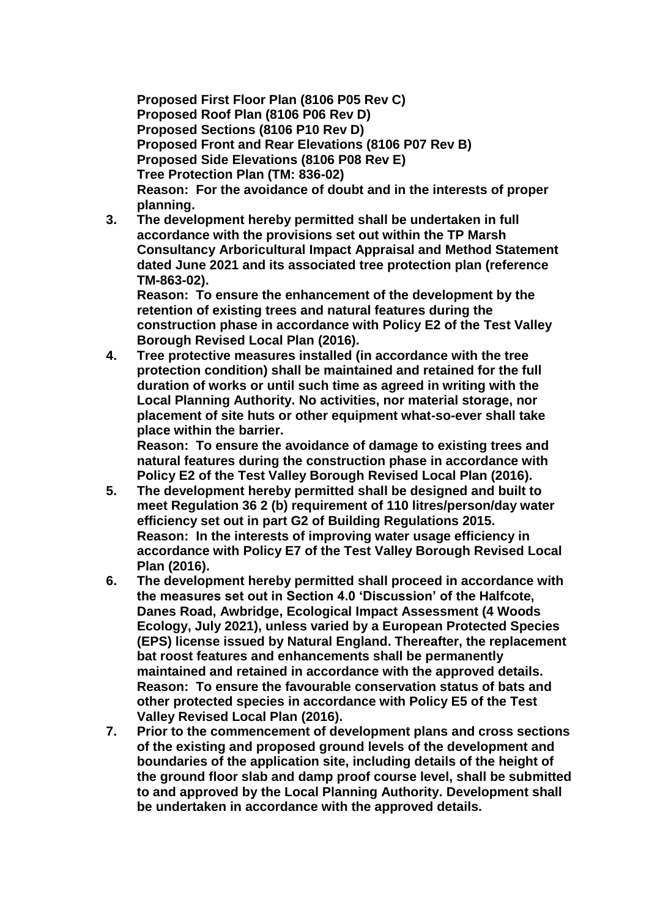**Proposed First Floor Plan (8106 P05 Rev C) Proposed Roof Plan (8106 P06 Rev D) Proposed Sections (8106 P10 Rev D) Proposed Front and Rear Elevations (8106 P07 Rev B) Proposed Side Elevations (8106 P08 Rev E) Tree Protection Plan (TM: 836-02) Reason: For the avoidance of doubt and in the interests of proper planning.**

**3. The development hereby permitted shall be undertaken in full accordance with the provisions set out within the TP Marsh Consultancy Arboricultural Impact Appraisal and Method Statement dated June 2021 and its associated tree protection plan (reference TM-863-02).**

**Reason: To ensure the enhancement of the development by the retention of existing trees and natural features during the construction phase in accordance with Policy E2 of the Test Valley Borough Revised Local Plan (2016).**

**4. Tree protective measures installed (in accordance with the tree protection condition) shall be maintained and retained for the full duration of works or until such time as agreed in writing with the Local Planning Authority. No activities, nor material storage, nor placement of site huts or other equipment what-so-ever shall take place within the barrier.** 

**Reason: To ensure the avoidance of damage to existing trees and natural features during the construction phase in accordance with Policy E2 of the Test Valley Borough Revised Local Plan (2016).**

- **5. The development hereby permitted shall be designed and built to meet Regulation 36 2 (b) requirement of 110 litres/person/day water efficiency set out in part G2 of Building Regulations 2015. Reason: In the interests of improving water usage efficiency in accordance with Policy E7 of the Test Valley Borough Revised Local Plan (2016).**
- **6. The development hereby permitted shall proceed in accordance with the measures set out in Section 4.0 'Discussion' of the Halfcote, Danes Road, Awbridge, Ecological Impact Assessment (4 Woods Ecology, July 2021), unless varied by a European Protected Species (EPS) license issued by Natural England. Thereafter, the replacement bat roost features and enhancements shall be permanently maintained and retained in accordance with the approved details. Reason: To ensure the favourable conservation status of bats and other protected species in accordance with Policy E5 of the Test Valley Revised Local Plan (2016).**
- **7. Prior to the commencement of development plans and cross sections of the existing and proposed ground levels of the development and boundaries of the application site, including details of the height of the ground floor slab and damp proof course level, shall be submitted to and approved by the Local Planning Authority. Development shall be undertaken in accordance with the approved details.**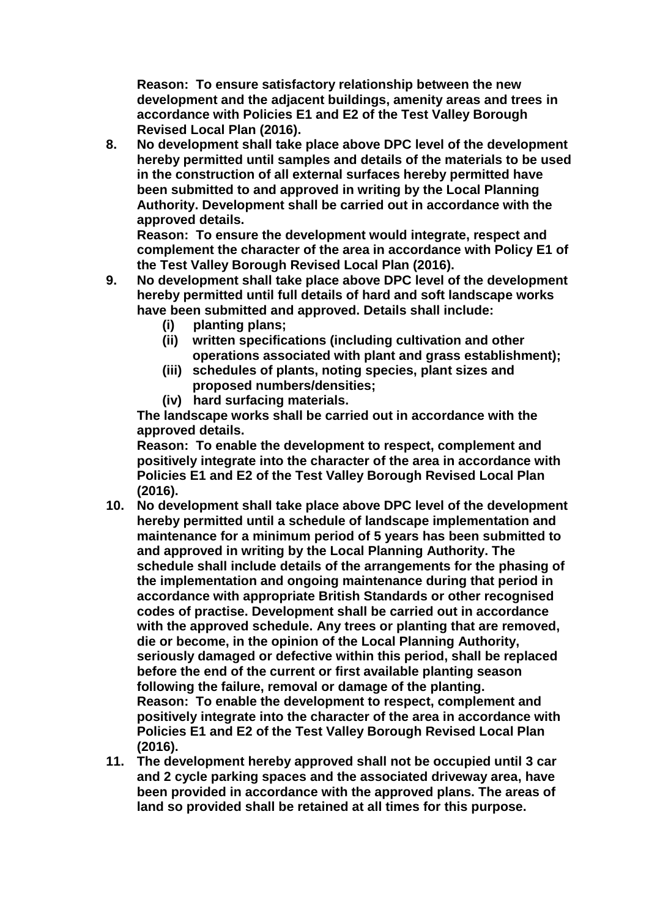**Reason: To ensure satisfactory relationship between the new development and the adjacent buildings, amenity areas and trees in accordance with Policies E1 and E2 of the Test Valley Borough Revised Local Plan (2016).**

**8. No development shall take place above DPC level of the development hereby permitted until samples and details of the materials to be used in the construction of all external surfaces hereby permitted have been submitted to and approved in writing by the Local Planning Authority. Development shall be carried out in accordance with the approved details.**

**Reason: To ensure the development would integrate, respect and complement the character of the area in accordance with Policy E1 of the Test Valley Borough Revised Local Plan (2016).**

- **9. No development shall take place above DPC level of the development hereby permitted until full details of hard and soft landscape works have been submitted and approved. Details shall include:** 
	- **(i) planting plans;**
	- **(ii) written specifications (including cultivation and other operations associated with plant and grass establishment);**
	- **(iii) schedules of plants, noting species, plant sizes and proposed numbers/densities;**
	- **(iv) hard surfacing materials.**

**The landscape works shall be carried out in accordance with the approved details.**

**Reason: To enable the development to respect, complement and positively integrate into the character of the area in accordance with Policies E1 and E2 of the Test Valley Borough Revised Local Plan (2016).**

- **10. No development shall take place above DPC level of the development hereby permitted until a schedule of landscape implementation and maintenance for a minimum period of 5 years has been submitted to and approved in writing by the Local Planning Authority. The schedule shall include details of the arrangements for the phasing of the implementation and ongoing maintenance during that period in accordance with appropriate British Standards or other recognised codes of practise. Development shall be carried out in accordance with the approved schedule. Any trees or planting that are removed, die or become, in the opinion of the Local Planning Authority, seriously damaged or defective within this period, shall be replaced before the end of the current or first available planting season following the failure, removal or damage of the planting. Reason: To enable the development to respect, complement and positively integrate into the character of the area in accordance with Policies E1 and E2 of the Test Valley Borough Revised Local Plan (2016).**
- **11. The development hereby approved shall not be occupied until 3 car and 2 cycle parking spaces and the associated driveway area, have been provided in accordance with the approved plans. The areas of land so provided shall be retained at all times for this purpose.**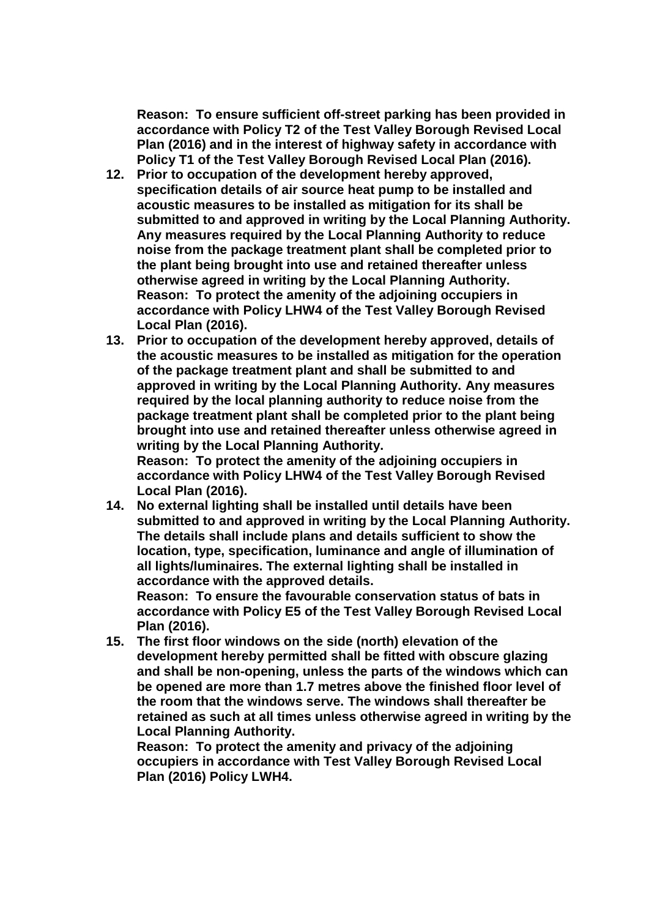**Reason: To ensure sufficient off-street parking has been provided in accordance with Policy T2 of the Test Valley Borough Revised Local Plan (2016) and in the interest of highway safety in accordance with Policy T1 of the Test Valley Borough Revised Local Plan (2016).**

- **12. Prior to occupation of the development hereby approved, specification details of air source heat pump to be installed and acoustic measures to be installed as mitigation for its shall be submitted to and approved in writing by the Local Planning Authority. Any measures required by the Local Planning Authority to reduce noise from the package treatment plant shall be completed prior to the plant being brought into use and retained thereafter unless otherwise agreed in writing by the Local Planning Authority. Reason: To protect the amenity of the adjoining occupiers in accordance with Policy LHW4 of the Test Valley Borough Revised Local Plan (2016).**
- **13. Prior to occupation of the development hereby approved, details of the acoustic measures to be installed as mitigation for the operation of the package treatment plant and shall be submitted to and approved in writing by the Local Planning Authority. Any measures required by the local planning authority to reduce noise from the package treatment plant shall be completed prior to the plant being brought into use and retained thereafter unless otherwise agreed in writing by the Local Planning Authority.**

**Reason: To protect the amenity of the adjoining occupiers in accordance with Policy LHW4 of the Test Valley Borough Revised Local Plan (2016).**

**14. No external lighting shall be installed until details have been submitted to and approved in writing by the Local Planning Authority. The details shall include plans and details sufficient to show the location, type, specification, luminance and angle of illumination of all lights/luminaires. The external lighting shall be installed in accordance with the approved details.**

**Reason: To ensure the favourable conservation status of bats in accordance with Policy E5 of the Test Valley Borough Revised Local Plan (2016).**

**15. The first floor windows on the side (north) elevation of the development hereby permitted shall be fitted with obscure glazing and shall be non-opening, unless the parts of the windows which can be opened are more than 1.7 metres above the finished floor level of the room that the windows serve. The windows shall thereafter be retained as such at all times unless otherwise agreed in writing by the Local Planning Authority.**

**Reason: To protect the amenity and privacy of the adjoining occupiers in accordance with Test Valley Borough Revised Local Plan (2016) Policy LWH4.**